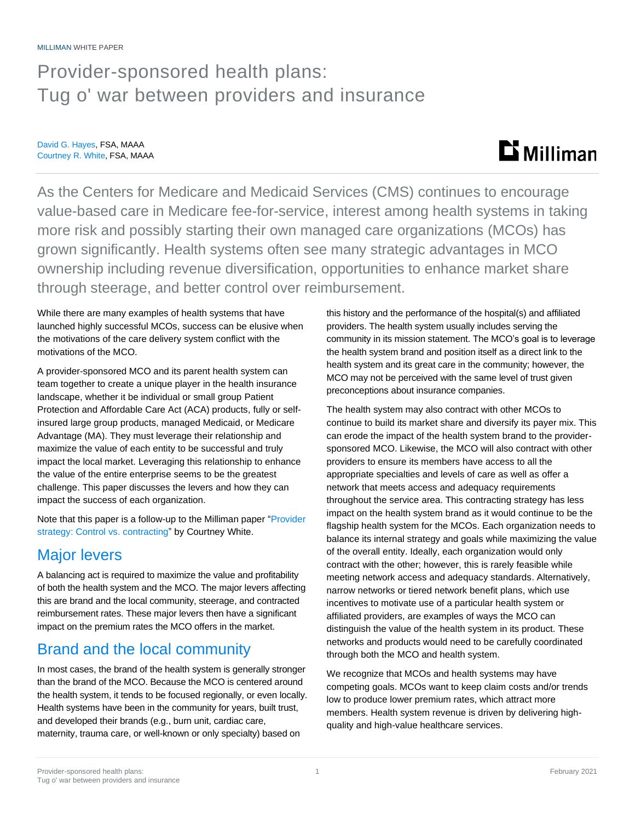# Provider-sponsored health plans: Tug o' war between providers and insurance

David G. Hayes, FSA, MAAA Courtney R. White, FSA, MAAA

# $\mathbf{D}$  Milliman

As the Centers for Medicare and Medicaid Services (CMS) continues to encourage value-based care in Medicare fee-for-service, interest among health systems in taking more risk and possibly starting their own managed care organizations (MCOs) has grown significantly. Health systems often see many strategic advantages in MCO ownership including revenue diversification, opportunities to enhance market share through steerage, and better control over reimbursement.

While there are many examples of health systems that have launched highly successful MCOs, success can be elusive when the motivations of the care delivery system conflict with the motivations of the MCO.

A provider-sponsored MCO and its parent health system can team together to create a unique player in the health insurance landscape, whether it be individual or small group Patient Protection and Affordable Care Act (ACA) products, fully or selfinsured large group products, managed Medicaid, or Medicare Advantage (MA). They must leverage their relationship and maximize the value of each entity to be successful and truly impact the local market. Leveraging this relationship to enhance the value of the entire enterprise seems to be the greatest challenge. This paper discusses the levers and how they can impact the success of each organization.

Note that this paper is a follow-up to the Milliman paper ["Provider](https://us.milliman.com/en/insight/provider-strategy-control-vs-contracting)  [strategy: Control vs. contracting"](https://us.milliman.com/en/insight/provider-strategy-control-vs-contracting) by Courtney White.

# Major levers

A balancing act is required to maximize the value and profitability of both the health system and the MCO. The major levers affecting this are brand and the local community, steerage, and contracted reimbursement rates. These major levers then have a significant impact on the premium rates the MCO offers in the market.

# Brand and the local community

In most cases, the brand of the health system is generally stronger than the brand of the MCO. Because the MCO is centered around the health system, it tends to be focused regionally, or even locally. Health systems have been in the community for years, built trust, and developed their brands (e.g., burn unit, cardiac care, maternity, trauma care, or well-known or only specialty) based on

this history and the performance of the hospital(s) and affiliated providers. The health system usually includes serving the community in its mission statement. The MCO's goal is to leverage the health system brand and position itself as a direct link to the health system and its great care in the community; however, the MCO may not be perceived with the same level of trust given preconceptions about insurance companies.

The health system may also contract with other MCOs to continue to build its market share and diversify its payer mix. This can erode the impact of the health system brand to the providersponsored MCO. Likewise, the MCO will also contract with other providers to ensure its members have access to all the appropriate specialties and levels of care as well as offer a network that meets access and adequacy requirements throughout the service area. This contracting strategy has less impact on the health system brand as it would continue to be the flagship health system for the MCOs. Each organization needs to balance its internal strategy and goals while maximizing the value of the overall entity. Ideally, each organization would only contract with the other; however, this is rarely feasible while meeting network access and adequacy standards. Alternatively, narrow networks or tiered network benefit plans, which use incentives to motivate use of a particular health system or affiliated providers, are examples of ways the MCO can distinguish the value of the health system in its product. These networks and products would need to be carefully coordinated through both the MCO and health system.

We recognize that MCOs and health systems may have competing goals. MCOs want to keep claim costs and/or trends low to produce lower premium rates, which attract more members. Health system revenue is driven by delivering highquality and high-value healthcare services.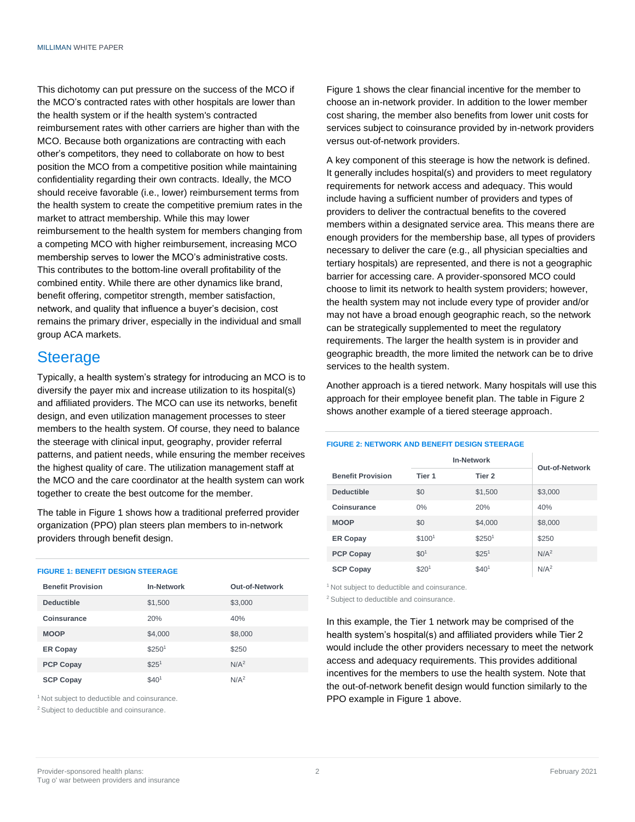This dichotomy can put pressure on the success of the MCO if the MCO's contracted rates with other hospitals are lower than the health system or if the health system's contracted reimbursement rates with other carriers are higher than with the MCO. Because both organizations are contracting with each other's competitors, they need to collaborate on how to best position the MCO from a competitive position while maintaining confidentiality regarding their own contracts. Ideally, the MCO should receive favorable (i.e., lower) reimbursement terms from the health system to create the competitive premium rates in the market to attract membership. While this may lower reimbursement to the health system for members changing from a competing MCO with higher reimbursement, increasing MCO membership serves to lower the MCO's administrative costs. This contributes to the bottom-line overall profitability of the combined entity. While there are other dynamics like brand, benefit offering, competitor strength, member satisfaction, network, and quality that influence a buyer's decision, cost remains the primary driver, especially in the individual and small group ACA markets.

### **Steerage**

Typically, a health system's strategy for introducing an MCO is to diversify the payer mix and increase utilization to its hospital(s) and affiliated providers. The MCO can use its networks, benefit design, and even utilization management processes to steer members to the health system. Of course, they need to balance the steerage with clinical input, geography, provider referral patterns, and patient needs, while ensuring the member receives the highest quality of care. The utilization management staff at the MCO and the care coordinator at the health system can work together to create the best outcome for the member.

The table in Figure 1 shows how a traditional preferred provider organization (PPO) plan steers plan members to in-network providers through benefit design.

#### **FIGURE 1: BENEFIT DESIGN STEERAGE**

| <b>Benefit Provision</b> | <b>In-Network</b>  | Out-of-Network   |
|--------------------------|--------------------|------------------|
| <b>Deductible</b>        | \$1,500            | \$3,000          |
| Coinsurance              | 20%                | 40%              |
| <b>MOOP</b>              | \$4,000            | \$8,000          |
| <b>ER Copay</b>          | \$250 <sup>1</sup> | \$250            |
| <b>PCP Copay</b>         | \$25 <sup>1</sup>  | N/A <sup>2</sup> |
| <b>SCP Copay</b>         | \$401              | N/A <sup>2</sup> |

<sup>1</sup> Not subject to deductible and coinsurance.

<sup>2</sup> Subject to deductible and coinsurance.

Figure 1 shows the clear financial incentive for the member to choose an in-network provider. In addition to the lower member cost sharing, the member also benefits from lower unit costs for services subject to coinsurance provided by in-network providers versus out-of-network providers.

A key component of this steerage is how the network is defined. It generally includes hospital(s) and providers to meet regulatory requirements for network access and adequacy. This would include having a sufficient number of providers and types of providers to deliver the contractual benefits to the covered members within a designated service area. This means there are enough providers for the membership base, all types of providers necessary to deliver the care (e.g., all physician specialties and tertiary hospitals) are represented, and there is not a geographic barrier for accessing care. A provider-sponsored MCO could choose to limit its network to health system providers; however, the health system may not include every type of provider and/or may not have a broad enough geographic reach, so the network can be strategically supplemented to meet the regulatory requirements. The larger the health system is in provider and geographic breadth, the more limited the network can be to drive services to the health system.

Another approach is a tiered network. Many hospitals will use this approach for their employee benefit plan. The table in Figure 2 shows another example of a tiered steerage approach.

#### **FIGURE 2: NETWORK AND BENEFIT DESIGN STEERAGE**

|                          | <b>In-Network</b>  | Out-of-Network     |                  |
|--------------------------|--------------------|--------------------|------------------|
| <b>Benefit Provision</b> | Tier 1             | Tier <sub>2</sub>  |                  |
| <b>Deductible</b>        | \$0                | \$1,500            | \$3,000          |
| Coinsurance              | $0\%$              | 20%                | 40%              |
| <b>MOOP</b>              | \$0                | \$4,000            | \$8,000          |
| <b>ER Copay</b>          | \$100 <sup>1</sup> | \$250 <sup>1</sup> | \$250            |
| <b>PCP Copay</b>         | \$0 <sup>1</sup>   | \$25 <sup>1</sup>  | N/A <sup>2</sup> |
| <b>SCP Copay</b>         | \$20 <sup>1</sup>  | \$40 <sup>1</sup>  | N/A <sup>2</sup> |

<sup>1</sup> Not subject to deductible and coinsurance. <sup>2</sup> Subject to deductible and coinsurance.

In this example, the Tier 1 network may be comprised of the health system's hospital(s) and affiliated providers while Tier 2 would include the other providers necessary to meet the network access and adequacy requirements. This provides additional incentives for the members to use the health system. Note that the out-of-network benefit design would function similarly to the PPO example in Figure 1 above.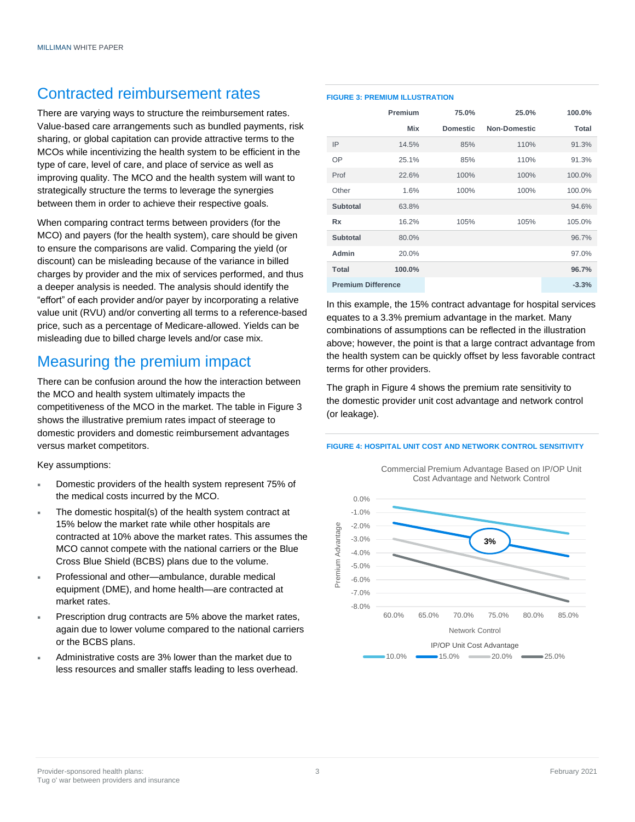### Contracted reimbursement rates

There are varying ways to structure the reimbursement rates. Value-based care arrangements such as bundled payments, risk sharing, or global capitation can provide attractive terms to the MCOs while incentivizing the health system to be efficient in the type of care, level of care, and place of service as well as improving quality. The MCO and the health system will want to strategically structure the terms to leverage the synergies between them in order to achieve their respective goals.

When comparing contract terms between providers (for the MCO) and payers (for the health system), care should be given to ensure the comparisons are valid. Comparing the yield (or discount) can be misleading because of the variance in billed charges by provider and the mix of services performed, and thus a deeper analysis is needed. The analysis should identify the "effort" of each provider and/or payer by incorporating a relative value unit (RVU) and/or converting all terms to a reference-based price, such as a percentage of Medicare-allowed. Yields can be misleading due to billed charge levels and/or case mix.

## Measuring the premium impact

There can be confusion around the how the interaction between the MCO and health system ultimately impacts the competitiveness of the MCO in the market. The table in Figure 3 shows the illustrative premium rates impact of steerage to domestic providers and domestic reimbursement advantages versus market competitors.

Key assumptions:

- Domestic providers of the health system represent 75% of the medical costs incurred by the MCO.
- The domestic hospital(s) of the health system contract at 15% below the market rate while other hospitals are contracted at 10% above the market rates. This assumes the MCO cannot compete with the national carriers or the Blue Cross Blue Shield (BCBS) plans due to the volume.
- Professional and other—ambulance, durable medical equipment (DME), and home health—are contracted at market rates.
- Prescription drug contracts are 5% above the market rates, again due to lower volume compared to the national carriers or the BCBS plans.
- Administrative costs are 3% lower than the market due to less resources and smaller staffs leading to less overhead.

#### **FIGURE 3: PREMIUM ILLUSTRATION**

|                           | Premium | 75.0%           | 25.0%               | 100.0%  |
|---------------------------|---------|-----------------|---------------------|---------|
|                           | Mix     | <b>Domestic</b> | <b>Non-Domestic</b> | Total   |
| IP                        | 14.5%   | 85%             | 110%                | 91.3%   |
| OP                        | 25.1%   | 85%             | 110%                | 91.3%   |
| Prof                      | 22.6%   | 100%            | 100%                | 100.0%  |
| Other                     | 1.6%    | 100%            | 100%                | 100.0%  |
| Subtotal                  | 63.8%   |                 |                     | 94.6%   |
| <b>Rx</b>                 | 16.2%   | 105%            | 105%                | 105.0%  |
| <b>Subtotal</b>           | 80.0%   |                 |                     | 96.7%   |
| Admin                     | 20.0%   |                 |                     | 97.0%   |
| <b>Total</b>              | 100.0%  |                 |                     | 96.7%   |
| <b>Premium Difference</b> |         |                 |                     | $-3.3%$ |

In this example, the 15% contract advantage for hospital services equates to a 3.3% premium advantage in the market. Many combinations of assumptions can be reflected in the illustration above; however, the point is that a large contract advantage from the health system can be quickly offset by less favorable contract terms for other providers.

The graph in Figure 4 shows the premium rate sensitivity to the domestic provider unit cost advantage and network control (or leakage).

#### **FIGURE 4: HOSPITAL UNIT COST AND NETWORK CONTROL SENSITIVITY**

Commercial Premium Advantage Based on IP/OP Unit Cost Advantage and Network Control

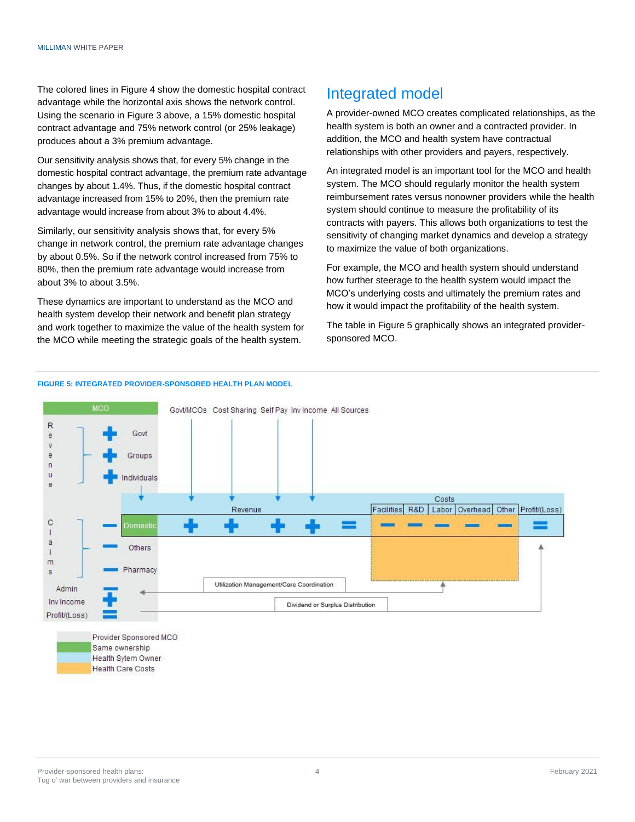The colored lines in Figure 4 show the domestic hospital contract advantage while the horizontal axis shows the network control. Using the scenario in Figure 3 above, a 15% domestic hospital contract advantage and 75% network control (or 25% leakage) produces about a 3% premium advantage.

Our sensitivity analysis shows that, for every 5% change in the domestic hospital contract advantage, the premium rate advantage changes by about 1.4%. Thus, if the domestic hospital contract advantage increased from 15% to 20%, then the premium rate advantage would increase from about 3% to about 4.4%.

Similarly, our sensitivity analysis shows that, for every 5% change in network control, the premium rate advantage changes by about 0.5%. So if the network control increased from 75% to 80%, then the premium rate advantage would increase from about 3% to about 3.5%.

These dynamics are important to understand as the MCO and health system develop their network and benefit plan strategy and work together to maximize the value of the health system for the MCO while meeting the strategic goals of the health system.

## Integrated model

A provider-owned MCO creates complicated relationships, as the health system is both an owner and a contracted provider. In addition, the MCO and health system have contractual relationships with other providers and payers, respectively.

An integrated model is an important tool for the MCO and health system. The MCO should regularly monitor the health system reimbursement rates versus nonowner providers while the health system should continue to measure the profitability of its contracts with payers. This allows both organizations to test the sensitivity of changing market dynamics and develop a strategy to maximize the value of both organizations.

For example, the MCO and health system should understand how further steerage to the health system would impact the MCO's underlying costs and ultimately the premium rates and how it would impact the profitability of the health system.

The table in Figure 5 graphically shows an integrated providersponsored MCO.



#### **FIGURE 5: INTEGRATED PROVIDER-SPONSORED HEALTH PLAN MODEL**

Provider Sponsored MCO Same ownership Health Sytem Owner **Health Care Costs** 

Profit/(Loss)

Dividend or Surplus Distribution